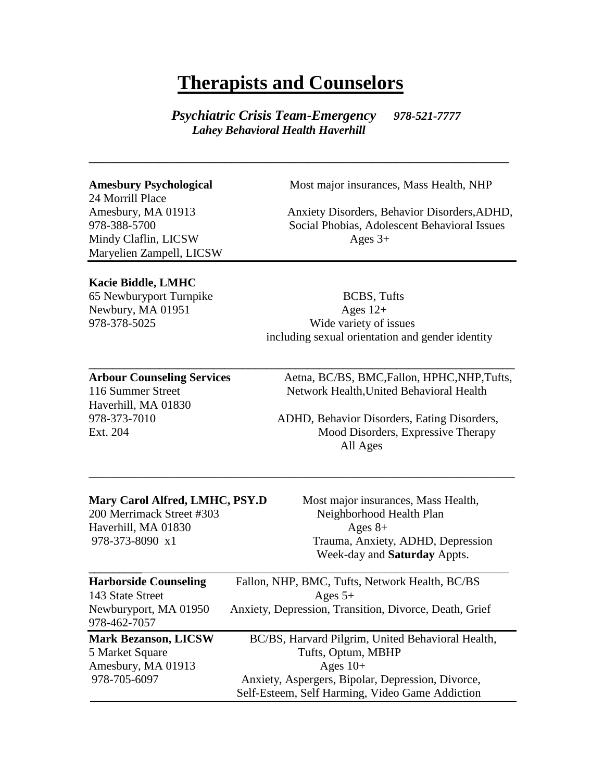## **Therapists and Counselors**

 *Psychiatric Crisis Team-Emergency 978-521-7777 Lahey Behavioral Health Haverhill* 

**\_\_\_\_\_\_\_\_\_\_\_\_\_\_\_\_\_\_\_\_\_\_\_\_\_\_\_\_\_\_\_\_\_\_\_\_\_\_\_\_\_\_\_\_\_\_\_\_\_\_\_\_\_\_\_\_\_\_\_\_\_\_\_\_\_\_\_\_\_\_\_**

**\_\_\_\_\_\_\_\_\_\_\_\_\_\_\_\_\_\_\_\_\_\_\_\_\_\_\_\_\_\_\_\_\_\_\_\_\_\_\_\_\_\_\_\_\_\_\_\_\_\_\_\_\_\_\_\_\_\_\_\_\_\_\_\_\_\_\_\_\_\_\_\_**

\_\_\_\_\_\_\_\_\_\_\_\_\_\_\_\_\_\_\_\_\_\_\_\_\_\_\_\_\_\_\_\_\_\_\_\_\_\_\_\_\_\_\_\_\_\_\_\_\_\_\_\_\_\_\_\_\_\_\_\_\_\_\_\_\_\_\_\_\_\_\_\_

24 Morrill Place Mindy Claflin, LICSW Ages 3+ Maryelien Zampell, LICSW

**Amesbury Psychological** Most major insurances, Mass Health, NHP

Amesbury, MA 01913 Anxiety Disorders, Behavior Disorders,ADHD, 978-388-5700 Social Phobias, Adolescent Behavioral Issues

#### **Kacie Biddle, LMHC**

65 Newburyport Turnpike BCBS, Tufts

Newbury, MA  $01951$  Ages  $12+$ 978-378-5025 Wide variety of issues including sexual orientation and gender identity

Haverhill, MA 01830

Arbour Counseling Services Aetna, BC/BS, BMC, Fallon, HPHC, NHP, Tufts, 116 Summer Street Network Health, United Behavioral Health

978-373-7010 ADHD, Behavior Disorders, Eating Disorders, Ext. 204 Mood Disorders, Expressive Therapy All Ages

Haverhill, MA  $01830$  Ages  $8+$ 

**Mary Carol Alfred, LMHC, PSY.D** Most major insurances, Mass Health, 200 Merrimack Street #303 Neighborhood Health Plan 978-373-8090 x1 Trauma, Anxiety, ADHD, Depression Week-day and **Saturday** Appts.

| <b>Harborside Counseling</b>          | Fallon, NHP, BMC, Tufts, Network Health, BC/BS         |
|---------------------------------------|--------------------------------------------------------|
| 143 State Street                      | Ages $5+$                                              |
| Newburyport, MA 01950<br>978-462-7057 | Anxiety, Depression, Transition, Divorce, Death, Grief |
|                                       |                                                        |
| <b>Mark Bezanson, LICSW</b>           | BC/BS, Harvard Pilgrim, United Behavioral Health,      |
| 5 Market Square                       | Tufts, Optum, MBHP                                     |
| Amesbury, MA 01913                    | Ages $10+$                                             |
| 978-705-6097                          | Anxiety, Aspergers, Bipolar, Depression, Divorce,      |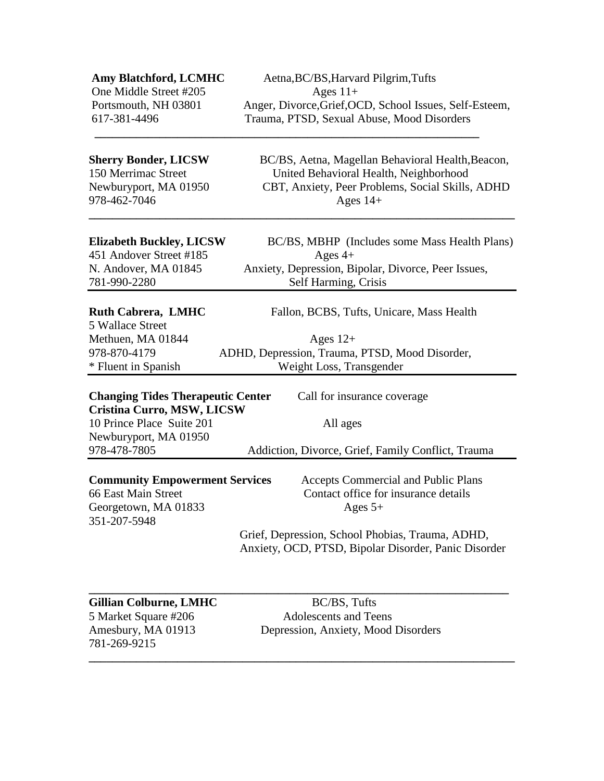**Amy Blatchford, LCMHC** Aetna, BC/BS, Harvard Pilgrim, Tufts One Middle Street #205 Ages 11+ Portsmouth, NH 03801 Anger, Divorce, Grief, OCD, School Issues, Self-Esteem, 617-381-4496 Trauma, PTSD, Sexual Abuse, Mood Disorders

978-462-7046 Ages 14+

**Sherry Bonder, LICSW** BC/BS, Aetna, Magellan Behavioral Health, Beacon, 150 Merrimac Street United Behavioral Health, Neighborhood Newburyport, MA 01950 CBT, Anxiety, Peer Problems, Social Skills, ADHD

**Elizabeth Buckley, LICSW** BC/BS, MBHP (Includes some Mass Health Plans) 451 Andover Street #185 Ages 4+ N. Andover, MA 01845 Anxiety, Depression, Bipolar, Divorce, Peer Issues, 781-990-2280 Self Harming, Crisis

### **Ruth Cabrera, LMHC** Fallon, BCBS, Tufts, Unicare, Mass Health

5 Wallace Street

Methuen, MA  $01844$  Ages  $12+$ 978-870-4179 ADHD, Depression, Trauma, PTSD, Mood Disorder,

\* Fluent in Spanish Weight Loss, Transgender

**\_\_\_\_\_\_\_\_\_\_\_\_\_\_\_\_\_\_\_\_\_\_\_\_\_\_\_\_\_\_\_\_\_\_\_\_\_\_\_\_\_\_\_\_\_\_\_\_\_\_\_\_\_\_\_\_\_\_\_\_\_\_\_\_\_**

**\_\_\_\_\_\_\_\_\_\_\_\_\_\_\_\_\_\_\_\_\_\_\_\_\_\_\_\_\_\_\_\_\_\_\_\_\_\_\_\_\_\_\_\_\_\_\_\_\_\_\_\_\_\_\_\_\_\_\_\_\_\_\_\_\_\_\_\_\_\_\_\_**

**Changing Tides Therapeutic Center** Call for insurance coverage **Cristina Curro, MSW, LICSW**  10 Prince Place Suite 201 All ages Newburyport, MA 01950

## **Community Empowerment Services** Accepts Commercial and Public Plans

Georgetown, MA 01833 Ages 5+ 351-207-5948

978-478-7805 Addiction, Divorce, Grief, Family Conflict, Trauma

66 East Main Street Contact office for insurance details

 Grief, Depression, School Phobias, Trauma, ADHD, Anxiety, OCD, PTSD, Bipolar Disorder, Panic Disorder

## Gillian Colburne, LMHC BC/BS, Tufts

781-269-9215 **\_\_\_\_\_\_\_\_\_\_\_\_\_\_\_\_\_\_\_\_\_\_\_\_\_\_\_\_\_\_\_\_\_\_\_\_\_\_\_\_\_\_\_\_\_\_\_\_\_\_\_\_\_\_\_\_\_\_\_\_\_\_\_\_\_\_\_\_\_\_\_\_**

5 Market Square #206 Adolescents and Teens Amesbury, MA 01913 Depression, Anxiety, Mood Disorders

**\_\_\_\_\_\_\_\_\_\_\_\_\_\_\_\_\_\_\_\_\_\_\_\_\_\_\_\_\_\_\_\_\_\_\_\_\_\_\_\_\_\_\_\_\_\_\_\_\_\_\_\_\_\_\_\_\_\_\_\_\_\_\_\_\_\_\_\_\_\_\_**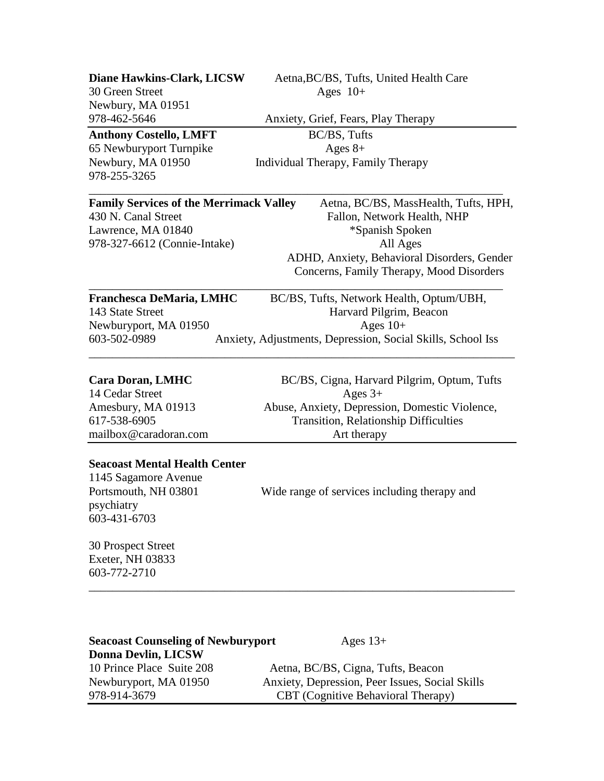| <b>Diane Hawkins-Clark, LICSW</b>                                                                                  | Aetna, BC/BS, Tufts, United Health Care                                                 |
|--------------------------------------------------------------------------------------------------------------------|-----------------------------------------------------------------------------------------|
| 30 Green Street                                                                                                    | Ages $10+$                                                                              |
| Newbury, MA 01951                                                                                                  |                                                                                         |
| 978-462-5646                                                                                                       | Anxiety, Grief, Fears, Play Therapy                                                     |
| <b>Anthony Costello, LMFT</b>                                                                                      | BC/BS, Tufts                                                                            |
| 65 Newburyport Turnpike                                                                                            | Ages $8+$                                                                               |
| Newbury, MA 01950<br>978-255-3265                                                                                  | Individual Therapy, Family Therapy                                                      |
| <b>Family Services of the Merrimack Valley</b>                                                                     | Aetna, BC/BS, MassHealth, Tufts, HPH,                                                   |
| 430 N. Canal Street                                                                                                | Fallon, Network Health, NHP                                                             |
| Lawrence, MA 01840                                                                                                 | *Spanish Spoken                                                                         |
| 978-327-6612 (Connie-Intake)                                                                                       | All Ages                                                                                |
|                                                                                                                    | ADHD, Anxiety, Behavioral Disorders, Gender<br>Concerns, Family Therapy, Mood Disorders |
| Franchesca DeMaria, LMHC                                                                                           | BC/BS, Tufts, Network Health, Optum/UBH,                                                |
| 143 State Street                                                                                                   | Harvard Pilgrim, Beacon                                                                 |
| Newburyport, MA 01950                                                                                              | Ages $10+$                                                                              |
| 603-502-0989                                                                                                       | Anxiety, Adjustments, Depression, Social Skills, School Iss                             |
| <b>Cara Doran, LMHC</b><br>14 Cedar Street                                                                         | BC/BS, Cigna, Harvard Pilgrim, Optum, Tufts<br>Ages $3+$                                |
| Amesbury, MA 01913                                                                                                 | Abuse, Anxiety, Depression, Domestic Violence,                                          |
| 617-538-6905                                                                                                       | <b>Transition, Relationship Difficulties</b>                                            |
| mailbox@caradoran.com                                                                                              | Art therapy                                                                             |
| <b>Seacoast Mental Health Center</b><br>1145 Sagamore Avenue<br>Portsmouth, NH 03801<br>psychiatry<br>603-431-6703 | Wide range of services including therapy and                                            |

30 Prospect Street Exeter, NH 03833 603-772-2710

| <b>Seacoast Counseling of Newburyport</b> | Ages $13+$                                      |
|-------------------------------------------|-------------------------------------------------|
| <b>Donna Devlin, LICSW</b>                |                                                 |
| 10 Prince Place Suite 208                 | Aetna, BC/BS, Cigna, Tufts, Beacon              |
| Newburyport, MA 01950                     | Anxiety, Depression, Peer Issues, Social Skills |
| 978-914-3679                              | <b>CBT</b> (Cognitive Behavioral Therapy)       |

\_\_\_\_\_\_\_\_\_\_\_\_\_\_\_\_\_\_\_\_\_\_\_\_\_\_\_\_\_\_\_\_\_\_\_\_\_\_\_\_\_\_\_\_\_\_\_\_\_\_\_\_\_\_\_\_\_\_\_\_\_\_\_\_\_\_\_\_\_\_\_\_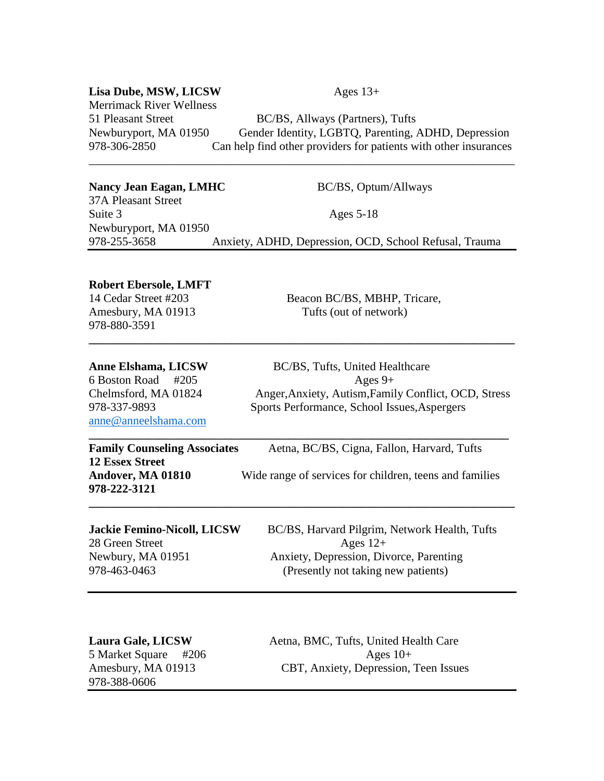#### **Lisa Dube, MSW, LICSW** Ages  $13+$

Merrimack River Wellness

51 Pleasant Street BC/BS, Allways (Partners), Tufts Newburyport, MA 01950 Gender Identity, LGBTQ, Parenting, ADHD, Depression 978-306-2850 Can help find other providers for patients with other insurances

#### Nancy Jean Eagan, LMHC BC/BS, Optum/Allways

37A Pleasant Street Suite 3 Ages 5-18 Newburyport, MA 01950 978-255-3658 Anxiety, ADHD, Depression, OCD, School Refusal, Trauma

\_\_\_\_\_\_\_\_\_\_\_\_\_\_\_\_\_\_\_\_\_\_\_\_\_\_\_\_\_\_\_\_\_\_\_\_\_\_\_\_\_\_\_\_\_\_\_\_\_\_\_\_\_\_\_\_\_\_\_\_\_\_\_\_\_\_\_\_\_\_\_\_

#### **Robert Ebersole, LMFT**

978-880-3591

14 Cedar Street #203 Beacon BC/BS, MBHP, Tricare, Amesbury, MA 01913 Tufts (out of network)

| Anne Elshama, LICSW |  |
|---------------------|--|
|---------------------|--|

[anne@anneelshama.com](mailto:anne@anneelshama.com)

**BC/BS, Tufts, United Healthcare**  $6$  Boston Road #205 Ages 9+ Chelmsford, MA 01824 Anger,Anxiety, Autism,Family Conflict, OCD, Stress 978-337-9893 Sports Performance, School Issues,Aspergers

| <b>Family Counseling Associates</b> | Aetna, BC/BS, Cigna, Fallon, Harvard, Tufts             |
|-------------------------------------|---------------------------------------------------------|
| <b>12 Essex Street</b>              |                                                         |
| Andover, MA 01810                   | Wide range of services for children, teens and families |
| 978-222-3121                        |                                                         |

**\_\_\_\_\_\_\_\_\_\_\_\_\_\_\_\_\_\_\_\_\_\_\_\_\_\_\_\_\_\_\_\_\_\_\_\_\_\_\_\_\_\_\_\_\_\_\_\_\_\_\_\_\_\_\_\_\_\_\_\_\_\_\_\_\_\_\_\_\_\_\_\_**

**\_\_\_\_\_\_\_\_\_\_\_\_\_\_\_\_\_\_\_\_\_\_\_\_\_\_\_\_\_\_\_\_\_\_\_\_\_\_\_\_\_\_\_\_\_\_\_\_\_\_\_\_\_\_\_\_\_\_\_\_\_\_\_\_\_\_\_\_\_\_\_\_**

| <b>Jackie Femino-Nicoll, LICSW</b> | BC/BS, Harvard Pilgrim, Network Health, Tufts |
|------------------------------------|-----------------------------------------------|
| 28 Green Street                    | Ages $12+$                                    |
| Newbury, MA 01951                  | Anxiety, Depression, Divorce, Parenting       |
| 978-463-0463                       | (Presently not taking new patients)           |

# 978-388-0606

**Laura Gale, LICSW** Aetna, BMC, Tufts, United Health Care 5 Market Square #206 Ages 10+ Amesbury, MA 01913 CBT, Anxiety, Depression, Teen Issues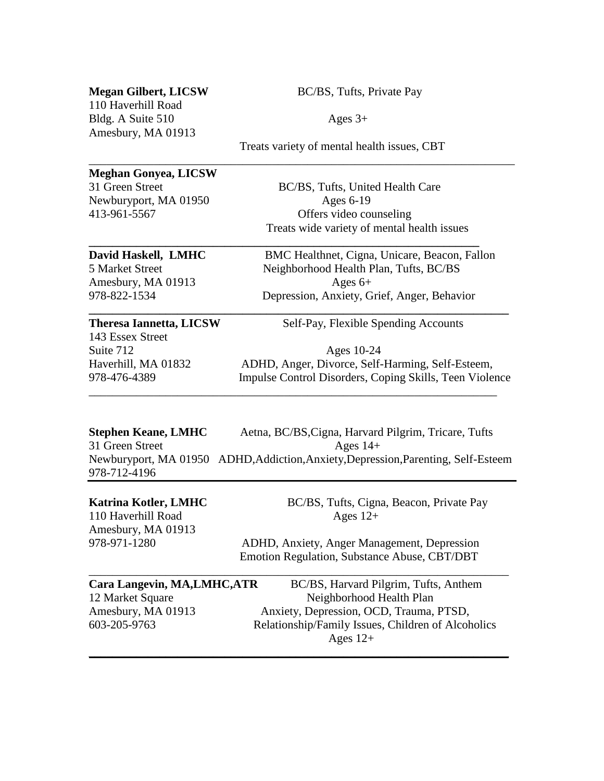110 Haverhill Road Bldg. A Suite  $510$  Ages  $3+$ Amesbury, MA 01913

**Megan Gilbert, LICSW** BC/BS, Tufts, Private Pay

Treats variety of mental health issues, CBT

\_\_\_\_\_\_\_\_\_\_\_\_\_\_\_\_\_\_\_\_\_\_\_\_\_\_\_\_\_\_\_\_\_\_\_\_\_\_\_\_\_\_\_\_\_\_\_\_\_\_\_\_\_\_\_\_\_\_\_\_\_\_\_\_\_\_\_\_\_\_\_\_

**\_\_\_\_\_\_\_\_\_\_\_\_\_\_\_\_\_\_\_\_\_\_\_\_\_\_\_\_\_\_\_\_\_\_\_\_\_\_\_\_\_\_\_\_\_\_\_\_\_\_\_\_\_\_\_\_\_\_\_\_\_\_\_\_\_\_**

## **Meghan Gonyea, LICSW**

Newburyport, MA 01950 Ages 6-19

31 Green Street BC/BS, Tufts, United Health Care 413-961-5567 Offers video counseling Treats wide variety of mental health issues

**David Haskell, LMHC** BMC Healthnet, Cigna, Unicare, Beacon, Fallon 5 Market Street Neighborhood Health Plan, Tufts, BC/BS Amesbury, MA 01913  $\qquad \qquad$  Ages 6+ 978-822-1534 Depression, Anxiety, Grief, Anger, Behavior **\_\_\_\_\_\_\_\_\_\_\_\_\_\_\_\_\_\_\_\_\_\_\_\_\_\_\_\_\_\_\_\_\_\_\_\_\_\_\_\_\_\_\_\_\_\_\_\_\_\_\_\_\_\_\_\_\_\_\_\_\_\_\_\_\_\_\_\_\_\_\_**

143 Essex Street

**Theresa Iannetta, LICSW** Self-Pay, Flexible Spending Accounts

Suite 712 Ages 10-24 Haverhill, MA 01832 ADHD, Anger, Divorce, Self-Harming, Self-Esteem, 978-476-4389 Impulse Control Disorders, Coping Skills, Teen Violence \_\_\_\_\_\_\_\_\_\_\_\_\_\_\_\_\_\_\_\_\_\_\_\_\_\_\_\_\_\_\_\_\_\_\_\_\_\_\_\_\_\_\_\_\_\_\_\_\_\_\_\_\_\_\_\_\_\_\_\_\_\_\_\_\_\_\_\_\_

| Stephen Keane, LMHC | Aetna, BC/BS, Cigna, Harvard Pilgrim, Tricare, Tufts                               |
|---------------------|------------------------------------------------------------------------------------|
| 31 Green Street     | Ages $14+$                                                                         |
|                     | Newburyport, MA 01950 ADHD, Addiction, Anxiety, Depression, Parenting, Self-Esteem |
| 978-712-4196        |                                                                                    |

110 Haverhill Road Ages 12+ Amesbury, MA 01913

**Katrina Kotler, LMHC** BC/BS, Tufts, Cigna, Beacon, Private Pay

978-971-1280ADHD, Anxiety, Anger Management, Depression Emotion Regulation, Substance Abuse, CBT/DBT

| Cara Langevin, MA, LMHC, ATR | BC/BS, Harvard Pilgrim, Tufts, Anthem              |
|------------------------------|----------------------------------------------------|
| 12 Market Square             | Neighborhood Health Plan                           |
| Amesbury, MA 01913           | Anxiety, Depression, OCD, Trauma, PTSD,            |
| 603-205-9763                 | Relationship/Family Issues, Children of Alcoholics |
|                              | Ages $12+$                                         |
|                              |                                                    |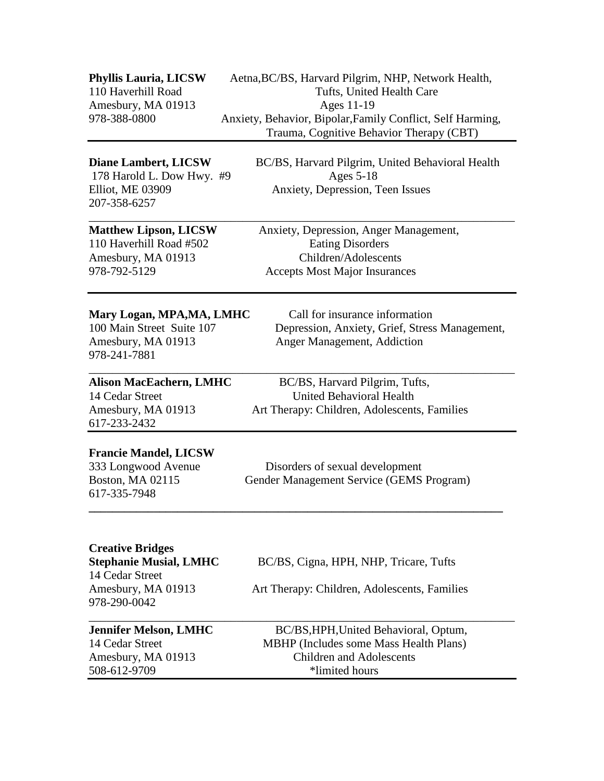| Phyllis Lauria, LICSW<br>110 Haverhill Road<br>Amesbury, MA 01913<br>978-388-0800                                 | Aetna, BC/BS, Harvard Pilgrim, NHP, Network Health,<br>Tufts, United Health Care<br>Ages 11-19<br>Anxiety, Behavior, Bipolar, Family Conflict, Self Harming,<br>Trauma, Cognitive Behavior Therapy (CBT) |
|-------------------------------------------------------------------------------------------------------------------|----------------------------------------------------------------------------------------------------------------------------------------------------------------------------------------------------------|
| <b>Diane Lambert, LICSW</b><br>178 Harold L. Dow Hwy. #9<br>Elliot, ME 03909<br>207-358-6257                      | BC/BS, Harvard Pilgrim, United Behavioral Health<br>Ages 5-18<br>Anxiety, Depression, Teen Issues                                                                                                        |
| <b>Matthew Lipson, LICSW</b><br>110 Haverhill Road #502<br>Amesbury, MA 01913<br>978-792-5129                     | Anxiety, Depression, Anger Management,<br><b>Eating Disorders</b><br>Children/Adolescents<br><b>Accepts Most Major Insurances</b>                                                                        |
| Mary Logan, MPA, MA, LMHC<br>100 Main Street Suite 107<br>Amesbury, MA 01913<br>978-241-7881                      | Call for insurance information<br>Depression, Anxiety, Grief, Stress Management,<br>Anger Management, Addiction                                                                                          |
| <b>Alison MacEachern, LMHC</b><br>14 Cedar Street<br>Amesbury, MA 01913<br>617-233-2432                           | BC/BS, Harvard Pilgrim, Tufts,<br><b>United Behavioral Health</b><br>Art Therapy: Children, Adolescents, Families                                                                                        |
| <b>Francie Mandel, LICSW</b><br>333 Longwood Avenue<br>Boston, MA 02115<br>617-335-7948                           | Disorders of sexual development<br>Gender Management Service (GEMS Program)                                                                                                                              |
| <b>Creative Bridges</b><br><b>Stephanie Musial, LMHC</b><br>14 Cedar Street<br>Amesbury, MA 01913<br>978-290-0042 | BC/BS, Cigna, HPH, NHP, Tricare, Tufts<br>Art Therapy: Children, Adolescents, Families                                                                                                                   |
| <b>Jennifer Melson, LMHC</b><br>14 Cedar Street<br>Amesbury, MA 01913<br>508-612-9709                             | BC/BS, HPH, United Behavioral, Optum,<br>MBHP (Includes some Mass Health Plans)<br><b>Children and Adolescents</b><br>*limited hours                                                                     |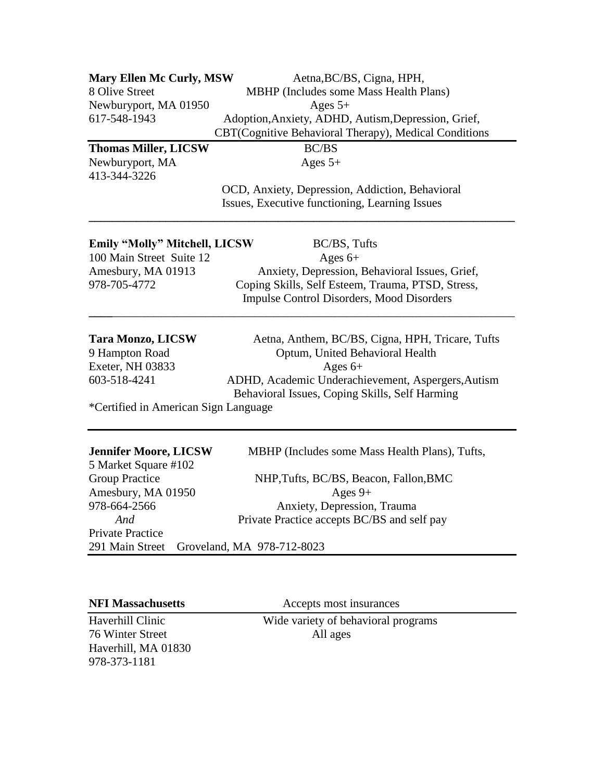| <b>Mary Ellen Mc Curly, MSW</b>      | Aetna, BC/BS, Cigna, HPH,                             |
|--------------------------------------|-------------------------------------------------------|
| 8 Olive Street                       | MBHP (Includes some Mass Health Plans)                |
| Newburyport, MA 01950                | Ages $5+$                                             |
| 617-548-1943                         | Adoption, Anxiety, ADHD, Autism, Depression, Grief,   |
|                                      | CBT(Cognitive Behavioral Therapy), Medical Conditions |
| <b>Thomas Miller, LICSW</b>          | <b>BC/BS</b>                                          |
| Newburyport, MA                      | Ages $5+$                                             |
| 413-344-3226                         |                                                       |
|                                      | OCD, Anxiety, Depression, Addiction, Behavioral       |
|                                      | Issues, Executive functioning, Learning Issues        |
| <b>Emily "Molly" Mitchell, LICSW</b> | BC/BS, Tufts                                          |
| 100 Main Street Suite 12             | Ages $6+$                                             |
| Amesbury, MA 01913                   | Anxiety, Depression, Behavioral Issues, Grief,        |
| 978-705-4772                         | Coping Skills, Self Esteem, Trauma, PTSD, Stress,     |
|                                      | <b>Impulse Control Disorders, Mood Disorders</b>      |
| <b>Tara Monzo, LICSW</b>             | Aetna, Anthem, BC/BS, Cigna, HPH, Tricare, Tufts      |
| 9 Hampton Road                       | Optum, United Behavioral Health                       |
| Exeter, NH 03833                     | Ages $6+$                                             |
| 603-518-4241                         | ADHD, Academic Underachievement, Aspergers, Autism    |
|                                      | Behavioral Issues, Coping Skills, Self Harming        |
| *Certified in American Sign Language |                                                       |
|                                      |                                                       |
| <b>Jennifer Moore, LICSW</b>         | MBHP (Includes some Mass Health Plans), Tufts,        |
| 5 Market Square #102                 |                                                       |
| <b>Group Practice</b>                | NHP, Tufts, BC/BS, Beacon, Fallon, BMC                |
| Amesbury, MA 01950                   | Ages $9+$                                             |
| 978-664-2566                         | Anxiety, Depression, Trauma                           |
| And                                  | Private Practice accepts BC/BS and self pay           |
| <b>Private Practice</b>              |                                                       |
| 291 Main Street                      | Groveland, MA 978-712-8023                            |

76 Winter Street All ages Haverhill, MA 01830 978-373-1181

**NFI Massachusetts Accepts most insurances** 

Haverhill Clinic Wide variety of behavioral programs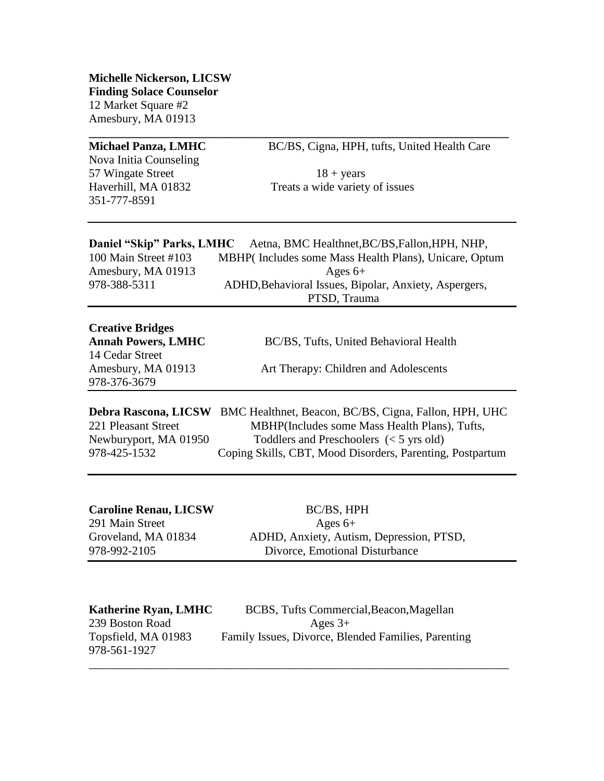**Michelle Nickerson, LICSW Finding Solace Counselor** 12 Market Square #2 Amesbury, MA 01913

Nova Initia Counseling 57 Wingate Street  $18 + \text{years}$ 351-777-8591

**Michael Panza, LMHC** BC/BS, Cigna, HPH, tufts, United Health Care

Haverhill, MA 01832 Treats a wide variety of issues

|                      | Daniel "Skip" Parks, LMHC Aetna, BMC Healthnet, BC/BS, Fallon, HPH, NHP, |
|----------------------|--------------------------------------------------------------------------|
| 100 Main Street #103 | MBHP(Includes some Mass Health Plans), Unicare, Optum                    |
| Amesbury, MA 01913   | Ages $6+$                                                                |
| 978-388-5311         | ADHD, Behavioral Issues, Bipolar, Anxiety, Aspergers,                    |
|                      | PTSD, Trauma                                                             |

**\_\_\_\_\_\_\_\_\_\_\_\_\_\_\_\_\_\_\_\_\_\_\_\_\_\_\_\_\_\_\_\_\_\_\_\_\_\_\_\_\_\_\_\_\_\_\_\_\_\_\_\_\_\_\_\_\_\_\_\_\_\_\_\_\_\_\_\_\_\_\_**

| <b>Creative Bridges</b>            |                                        |
|------------------------------------|----------------------------------------|
| <b>Annah Powers, LMHC</b>          | BC/BS, Tufts, United Behavioral Health |
| 14 Cedar Street                    |                                        |
| Amesbury, MA 01913<br>978-376-3679 | Art Therapy: Children and Adolescents  |
|                                    |                                        |

**Debra Rascona, LICSW** BMC Healthnet, Beacon, BC/BS, Cigna, Fallon, HPH, UHC 221 Pleasant Street MBHP(Includes some Mass Health Plans), Tufts, Newburyport, MA 01950 Toddlers and Preschoolers (< 5 yrs old) 978-425-1532 Coping Skills, CBT, Mood Disorders, Parenting, Postpartum

| <b>Caroline Renau, LICSW</b> | BC/BS, HPH                               |
|------------------------------|------------------------------------------|
| 291 Main Street              | Ages $6+$                                |
| Groveland, MA 01834          | ADHD, Anxiety, Autism, Depression, PTSD, |
| 978-992-2105                 | Divorce, Emotional Disturbance           |

| <b>Katherine Ryan, LMHC</b> | BCBS, Tufts Commercial, Beacon, Magellan            |
|-----------------------------|-----------------------------------------------------|
| 239 Boston Road             | Ages $3+$                                           |
| Topsfield, MA 01983         | Family Issues, Divorce, Blended Families, Parenting |
| 978-561-1927                |                                                     |

\_\_\_\_\_\_\_\_\_\_\_\_\_\_\_\_\_\_\_\_\_\_\_\_\_\_\_\_\_\_\_\_\_\_\_\_\_\_\_\_\_\_\_\_\_\_\_\_\_\_\_\_\_\_\_\_\_\_\_\_\_\_\_\_\_\_\_\_\_\_\_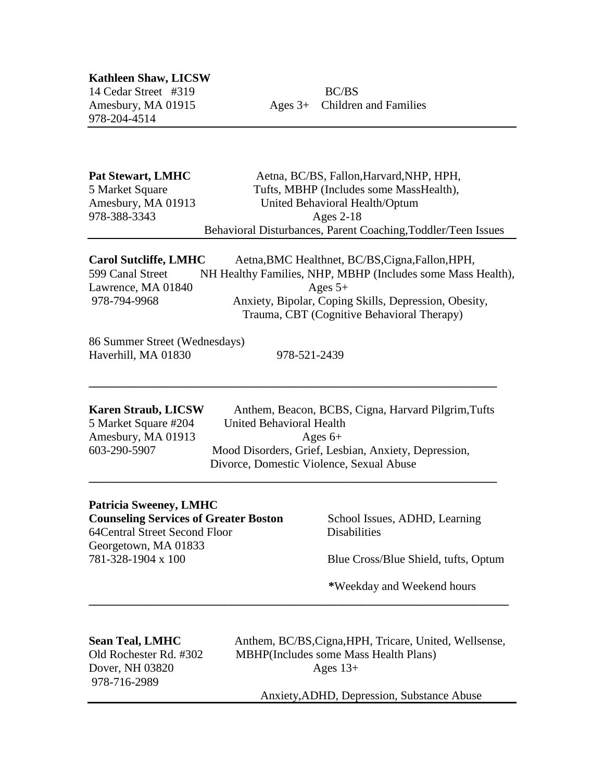**Kathleen Shaw, LICSW**  14 Cedar Street#319BC/BS 978-204-4514

Amesbury, MA 01915 Ages 3+ Children and Families

| <b>Pat Stewart, LMHC</b> | Aetna, BC/BS, Fallon, Harvard, NHP, HPH,                      |
|--------------------------|---------------------------------------------------------------|
| 5 Market Square          | Tufts, MBHP (Includes some MassHealth),                       |
| Amesbury, MA 01913       | United Behavioral Health/Optum                                |
| 978-388-3343             | Ages $2-18$                                                   |
|                          | Behavioral Disturbances, Parent Coaching, Toddler/Teen Issues |

| <b>Carol Sutcliffe, LMHC</b> | Aetna, BMC Healthnet, BC/BS, Cigna, Fallon, HPH,            |
|------------------------------|-------------------------------------------------------------|
| 599 Canal Street             | NH Healthy Families, NHP, MBHP (Includes some Mass Health), |
| Lawrence, MA 01840           | Ages $5+$                                                   |
| 978-794-9968                 | Anxiety, Bipolar, Coping Skills, Depression, Obesity,       |
|                              | Trauma, CBT (Cognitive Behavioral Therapy)                  |

86 Summer Street (Wednesdays) Haverhill, MA 01830 978-521-2439

**\_\_\_\_\_\_\_\_\_\_\_\_\_\_\_\_\_\_\_\_\_\_\_\_\_\_\_\_\_\_\_\_\_\_\_\_\_\_\_\_\_\_\_\_\_\_\_\_\_\_\_\_\_\_\_\_\_\_\_\_\_\_\_\_\_\_\_\_\_**

**\_\_\_\_\_\_\_\_\_\_\_\_\_\_\_\_\_\_\_\_\_\_\_\_\_\_\_\_\_\_\_\_\_\_\_\_\_\_\_\_\_\_\_\_\_\_\_\_\_\_\_\_\_\_\_\_\_\_\_\_\_\_\_\_\_\_\_\_\_\_\_**

**Karen Straub, LICSW** Anthem, Beacon, BCBS, Cigna, Harvard Pilgrim,Tufts 5 Market Square #204 United Behavioral Health Amesbury, MA 01913  $\qquad \qquad \text{Ages } 6+$ 603-290-5907 Mood Disorders, Grief, Lesbian, Anxiety, Depression, Divorce, Domestic Violence, Sexual Abuse **\_\_\_\_\_\_\_\_\_\_\_\_\_\_\_\_\_\_\_\_\_\_\_\_\_\_\_\_\_\_\_\_\_\_\_\_\_\_\_\_\_\_\_\_\_\_\_\_\_\_\_\_\_\_\_\_\_\_\_\_\_\_\_\_\_\_\_\_\_**

## **Patricia Sweeney, LMHC Counseling Services of Greater Boston School Issues, ADHD, Learning** 64Central Street Second Floor Disabilities Georgetown, MA 01833

781-328-1904 x 100 Blue Cross/Blue Shield, tufts, Optum

 **\***Weekday and Weekend hours

# 978-716-2989

**Sean Teal, LMHC** Anthem, BC/BS, Cigna, HPH, Tricare, United, Wellsense, Old Rochester Rd. #302 MBHP(Includes some Mass Health Plans) Dover, NH 03820 Ages 13+

Anxiety,ADHD, Depression, Substance Abuse